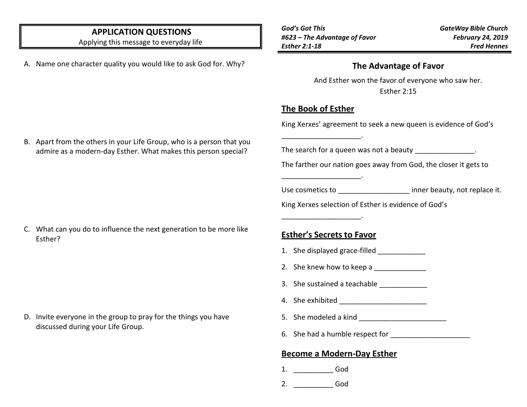## **APPLICATION QUESTIONS**

Applying this message to everyday life

A. Name one character quality you would like to ask God for. Why?

*God's Got This #623 – The Advantage of Favor Esther 2:1-18*

*GateWay Bible Church February 24, 2019 Fred Hennes*

#### **The Advantage of Favor**

And Esther won the favor of everyone who saw her. Esther 2:15

# **The Book of Esther**

\_\_\_\_\_\_\_\_\_\_\_\_\_\_\_\_\_\_\_\_.

\_\_\_\_\_\_\_\_\_\_\_\_\_\_\_\_\_\_\_\_.

\_\_\_\_\_\_\_\_\_\_\_\_\_\_\_\_\_\_\_\_.

King Xerxes' agreement to seek a new queen is evidence of God's

The search for a queen was not a beauty  $\qquad \qquad$ .

The farther our nation goes away from God, the closer it gets to

Use cosmetics to **USE 19** inner beauty, not replace it.

King Xerxes selection of Esther is evidence of God's

#### C. What can you do to influence the next generation to be more like Esther?

D. Invite everyone in the group to pray for the things you have discussed during your Life Group.

## **Esther's Secrets to Favor**

- 1. She displayed grace-filled
- 2. She knew how to keep a
- 3. She sustained a teachable
- 4. She exhibited
- 5. She modeled a kind \_\_\_\_\_\_\_\_\_\_\_\_\_\_\_\_\_\_\_\_\_\_
- 6. She had a humble respect for

## **Become a Modern-Day Esther**

- 1. \_\_\_\_\_\_\_\_\_\_ God
- 2. \_\_\_\_\_\_\_\_\_\_ God

B. Apart from the others in your Life Group, who is a person that you admire as a modern-day Esther. What makes this person special?